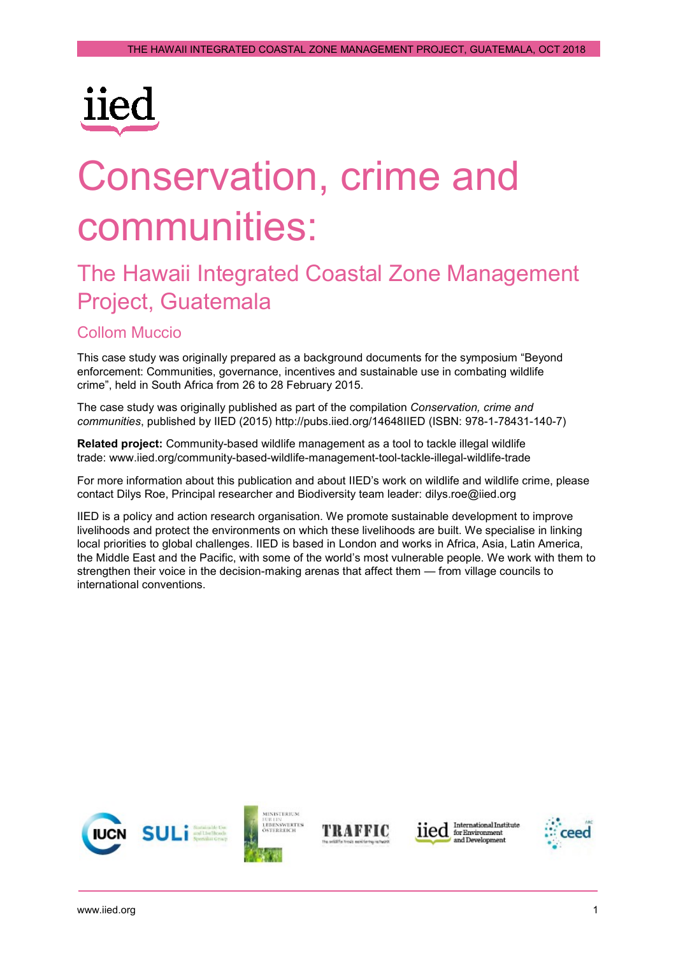

# Conservation, crime and communities: The Hawaii Integrated Coastal Zone Management

## Project, Guatemala

#### Collom Muccio

This case study was originally prepared as a background documents for the symposium "Beyond enforcement: Communities, governance, incentives and sustainable use in combating wildlife crime", held in South Africa from 26 to 28 February 2015.

The case study was originally published as part of the compilation *Conservation, crime and communities*, published by IIED (2015) <http://pubs.iied.org/14648IIED> (ISBN: 978-1-78431-140-7)

**Related project:** Community-based wildlife management as a tool to tackle illegal wildlife trade: www.iied.org/community-based-wildlife-management-tool[-tackle-illegal-wildlife-trade](https://www.iied.org/community-based-wildlife-management-tool-tackle-illegal-wildlife-trade)

For more information about this publication and about IIED's work on wildlife and wildlife crime, please contact Dilys Roe, Principal researcher and Biodiversity team leader: [dilys.roe@iied.org](mailto:dilys.roe@iied.org) 

IIED is a policy and action research organisation. We promote sustainable development to improve livelihoods and protect the environments on which these livelihoods are built. We specialise in linking local priorities to global challenges. IIED is based in London and works in Africa, Asia, Latin America, the Middle East and the Pacific, with some of the world's most vulnerable people. We work with them to strengthen their voice in the decision-making arenas that affect them — from village councils to international conventions.







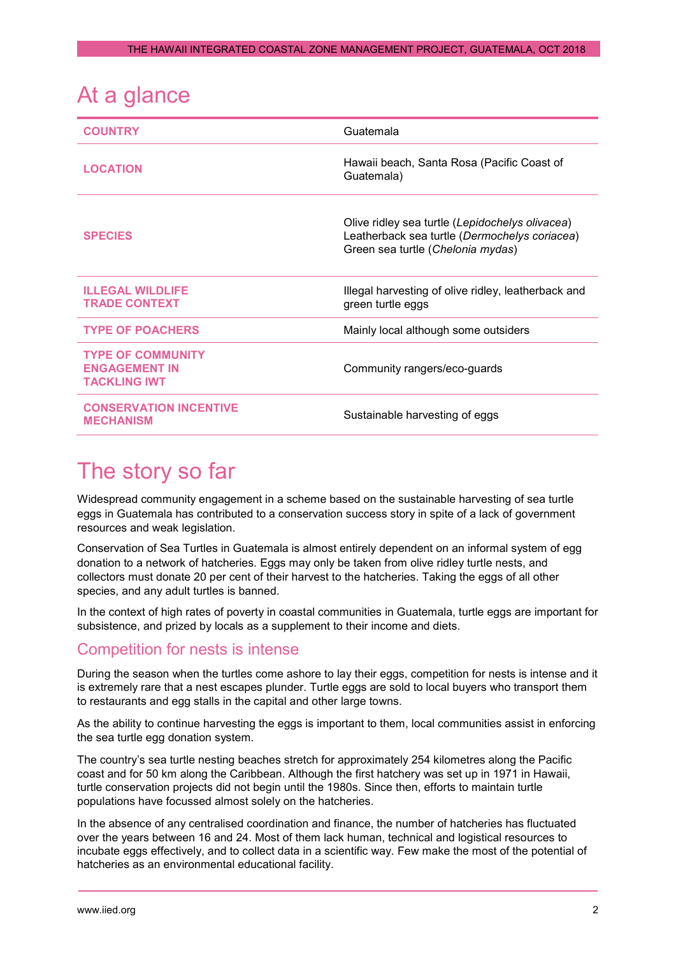| At a glance                                                             |                                                                                                                                       |
|-------------------------------------------------------------------------|---------------------------------------------------------------------------------------------------------------------------------------|
| <b>COUNTRY</b>                                                          | Guatemala                                                                                                                             |
| <b>LOCATION</b>                                                         | Hawaii beach, Santa Rosa (Pacific Coast of<br>Guatemala)                                                                              |
| <b>SPECIES</b>                                                          | Olive ridley sea turtle (Lepidochelys olivacea)<br>Leatherback sea turtle (Dermochelys coriacea)<br>Green sea turtle (Chelonia mydas) |
| <b>ILLEGAL WILDLIFE</b><br><b>TRADE CONTEXT</b>                         | Illegal harvesting of olive ridley, leatherback and<br>green turtle eggs                                                              |
| <b>TYPE OF POACHERS</b>                                                 | Mainly local although some outsiders                                                                                                  |
| <b>TYPE OF COMMUNITY</b><br><b>ENGAGEMENT IN</b><br><b>TACKLING IWT</b> | Community rangers/eco-guards                                                                                                          |
| <b>CONSERVATION INCENTIVE</b><br><b>MECHANISM</b>                       | Sustainable harvesting of eggs                                                                                                        |

## The story so far

Widespread community engagement in a scheme based on the sustainable harvesting of sea turtle eggs in Guatemala has contributed to a conservation success story in spite of a lack of government resources and weak legislation.

Conservation of Sea Turtles in Guatemala is almost entirely dependent on an informal system of egg donation to a network of hatcheries. Eggs may only be taken from olive ridley turtle nests, and collectors must donate 20 per cent of their harvest to the hatcheries. Taking the eggs of all other species, and any adult turtles is banned.

In the context of high rates of poverty in coastal communities in Guatemala, turtle eggs are important for subsistence, and prized by locals as a supplement to their income and diets.

#### Competition for nests is intense

During the season when the turtles come ashore to lay their eggs, competition for nests is intense and it is extremely rare that a nest escapes plunder. Turtle eggs are sold to local buyers who transport them to restaurants and egg stalls in the capital and other large towns.

As the ability to continue harvesting the eggs is important to them, local communities assist in enforcing the sea turtle egg donation system.

The country's sea turtle nesting beaches stretch for approximately 254 kilometres along the Pacific coast and for 50 km along the Caribbean. Although the first hatchery was set up in 1971 in Hawaii, turtle conservation projects did not begin until the 1980s. Since then, efforts to maintain turtle populations have focussed almost solely on the hatcheries.

In the absence of any centralised coordination and finance, the number of hatcheries has fluctuated over the years between 16 and 24. Most of them lack human, technical and logistical resources to incubate eggs effectively, and to collect data in a scientific way. Few make the most of the potential of hatcheries as an environmental educational facility.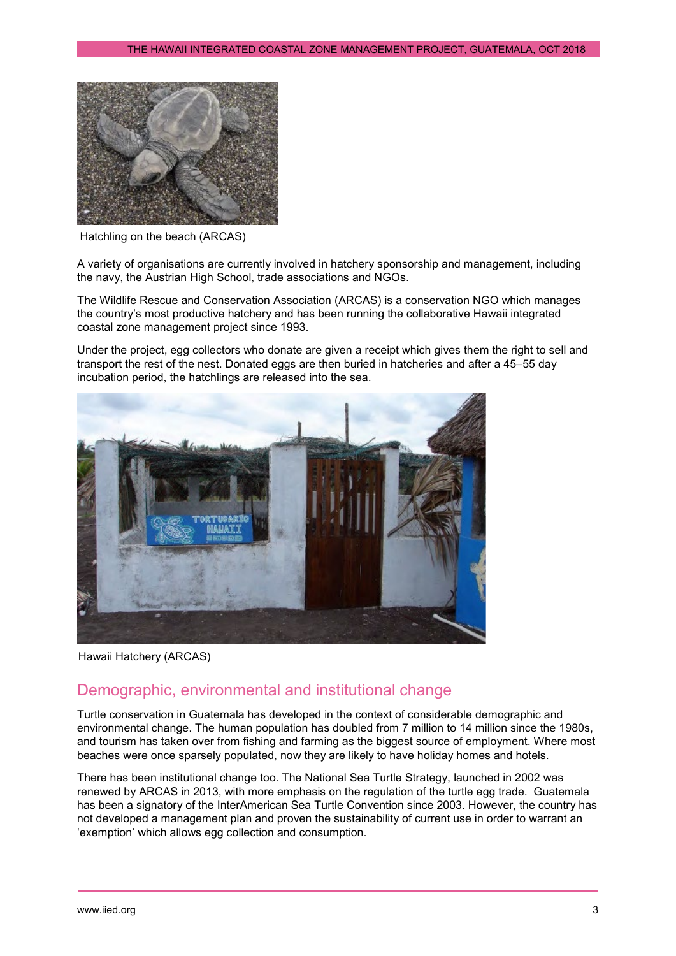

Hatchling on the beach (ARCAS)

A variety of organisations are currently involved in hatchery sponsorship and management, including the navy, the Austrian High School, trade associations and NGOs.

The Wildlife Rescue and Conservation Association (ARCAS) is a conservation NGO which manages the country's most productive hatchery and has been running the collaborative Hawaii integrated coastal zone management project since 1993.

Under the project, egg collectors who donate are given a receipt which gives them the right to sell and transport the rest of the nest. Donated eggs are then buried in hatcheries and after a 45–55 day incubation period, the hatchlings are released into the sea.



Hawaii Hatchery (ARCAS)

#### Demographic, environmental and institutional change

Turtle conservation in Guatemala has developed in the context of considerable demographic and environmental change. The human population has doubled from 7 million to 14 million since the 1980s, and tourism has taken over from fishing and farming as the biggest source of employment. Where most beaches were once sparsely populated, now they are likely to have holiday homes and hotels.

There has been institutional change too. The National Sea Turtle Strategy, launched in 2002 was renewed by ARCAS in 2013, with more emphasis on the regulation of the turtle egg trade. Guatemala has been a signatory of the InterAmerican Sea Turtle Convention since 2003. However, the country has not developed a management plan and proven the sustainability of current use in order to warrant an 'exemption' which allows egg collection and consumption.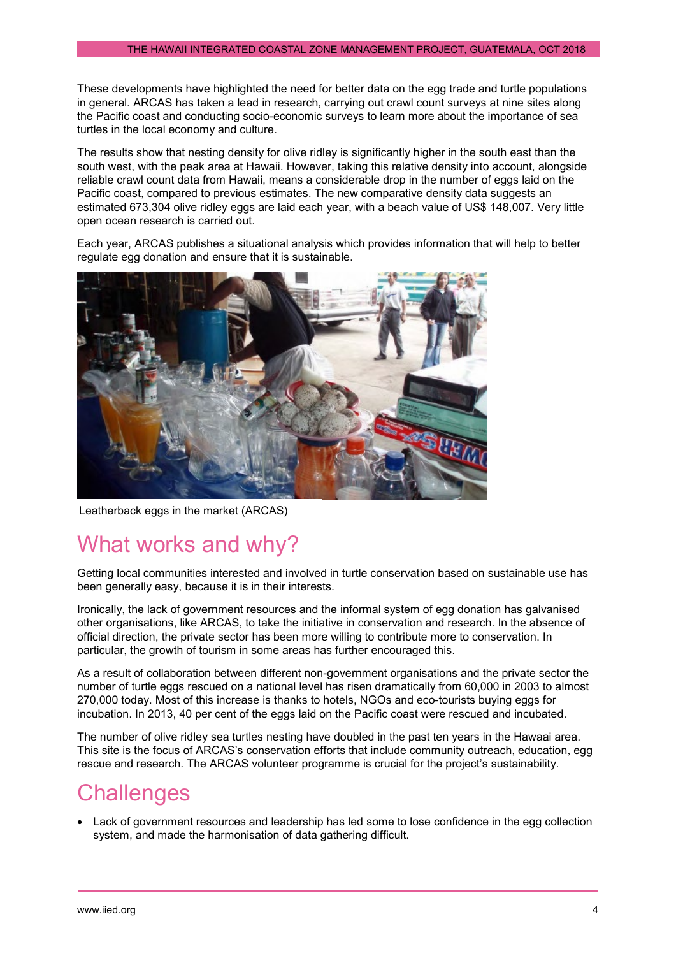These developments have highlighted the need for better data on the egg trade and turtle populations in general. ARCAS has taken a lead in research, carrying out crawl count surveys at nine sites along the Pacific coast and conducting socio-economic surveys to learn more about the importance of sea turtles in the local economy and culture.

The results show that nesting density for olive ridley is significantly higher in the south east than the south west, with the peak area at Hawaii. However, taking this relative density into account, alongside reliable crawl count data from Hawaii, means a considerable drop in the number of eggs laid on the Pacific coast, compared to previous estimates. The new comparative density data suggests an estimated 673,304 olive ridley eggs are laid each year, with a beach value of US\$ 148,007. Very little open ocean research is carried out.

Each year, ARCAS publishes a situational analysis which provides information that will help to better regulate egg donation and ensure that it is sustainable.



Leatherback eggs in the market (ARCAS)

## What works and why?

Getting local communities interested and involved in turtle conservation based on sustainable use has been generally easy, because it is in their interests.

Ironically, the lack of government resources and the informal system of egg donation has galvanised other organisations, like ARCAS, to take the initiative in conservation and research. In the absence of official direction, the private sector has been more willing to contribute more to conservation. In particular, the growth of tourism in some areas has further encouraged this.

As a result of collaboration between different non-government organisations and the private sector the number of turtle eggs rescued on a national level has risen dramatically from 60,000 in 2003 to almost 270,000 today. Most of this increase is thanks to hotels, NGOs and eco-tourists buying eggs for incubation. In 2013, 40 per cent of the eggs laid on the Pacific coast were rescued and incubated.

The number of olive ridley sea turtles nesting have doubled in the past ten years in the Hawaai area. This site is the focus of ARCAS's conservation efforts that include community outreach, education, egg rescue and research. The ARCAS volunteer programme is crucial for the project's sustainability.

## **Challenges**

• Lack of government resources and leadership has led some to lose confidence in the egg collection system, and made the harmonisation of data gathering difficult.